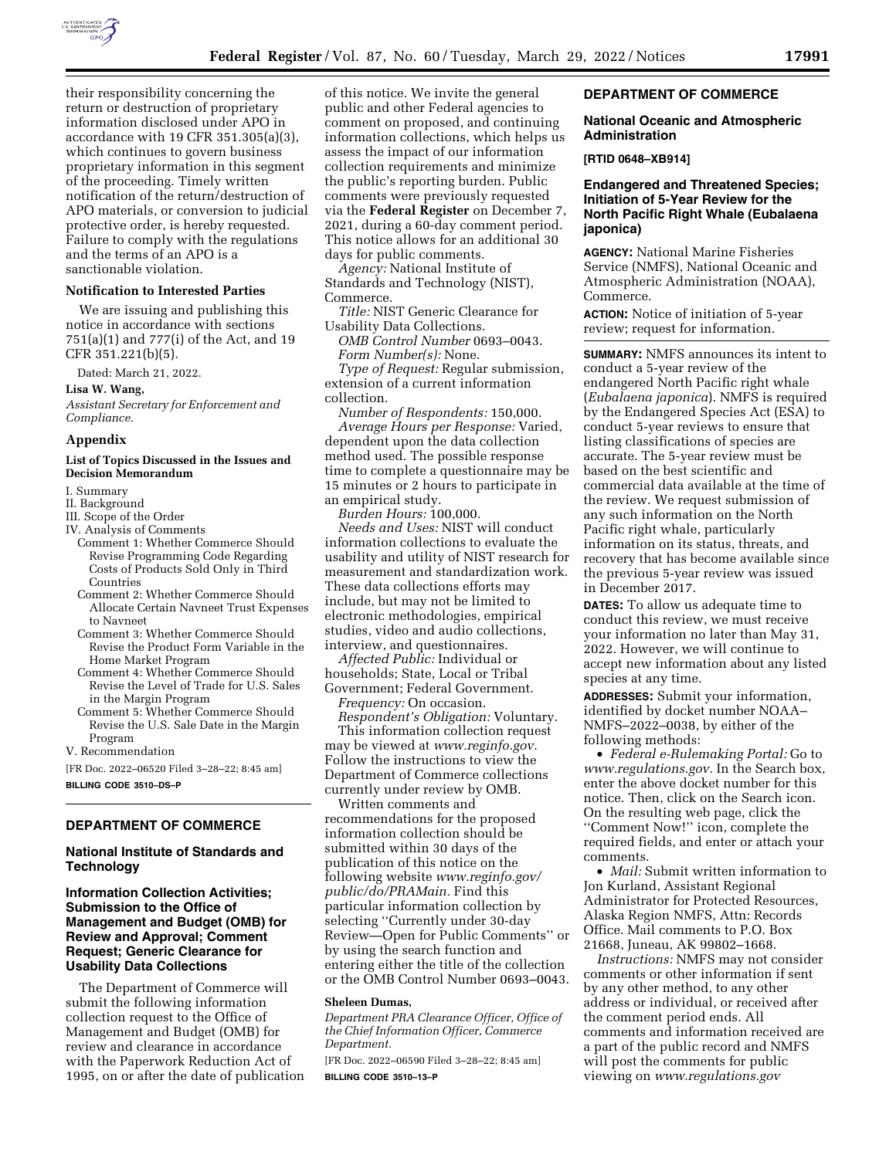

their responsibility concerning the return or destruction of proprietary information disclosed under APO in accordance with 19 CFR 351.305(a)(3), which continues to govern business proprietary information in this segment of the proceeding. Timely written notification of the return/destruction of APO materials, or conversion to judicial protective order, is hereby requested. Failure to comply with the regulations and the terms of an APO is a sanctionable violation.

## **Notification to Interested Parties**

We are issuing and publishing this notice in accordance with sections 751(a)(1) and 777(i) of the Act, and 19 CFR 351.221(b)(5).

Dated: March 21, 2022.

**Lisa W. Wang,** 

*Assistant Secretary for Enforcement and Compliance.* 

### **Appendix**

## **List of Topics Discussed in the Issues and Decision Memorandum**

I. Summary

- II. Background
- III. Scope of the Order
- IV. Analysis of Comments
- Comment 1: Whether Commerce Should Revise Programming Code Regarding Costs of Products Sold Only in Third Countries
- Comment 2: Whether Commerce Should Allocate Certain Navneet Trust Expenses to Navneet
- Comment 3: Whether Commerce Should Revise the Product Form Variable in the Home Market Program
- Comment 4: Whether Commerce Should Revise the Level of Trade for U.S. Sales in the Margin Program
- Comment 5: Whether Commerce Should Revise the U.S. Sale Date in the Margin Program

V. Recommendation

[FR Doc. 2022–06520 Filed 3–28–22; 8:45 am] **BILLING CODE 3510–DS–P** 

## **DEPARTMENT OF COMMERCE**

### **National Institute of Standards and Technology**

# **Information Collection Activities; Submission to the Office of Management and Budget (OMB) for Review and Approval; Comment Request; Generic Clearance for Usability Data Collections**

The Department of Commerce will submit the following information collection request to the Office of Management and Budget (OMB) for review and clearance in accordance with the Paperwork Reduction Act of 1995, on or after the date of publication

of this notice. We invite the general public and other Federal agencies to comment on proposed, and continuing information collections, which helps us assess the impact of our information collection requirements and minimize the public's reporting burden. Public comments were previously requested via the **Federal Register** on December 7, 2021, during a 60-day comment period. This notice allows for an additional 30 days for public comments.

*Agency:* National Institute of Standards and Technology (NIST), Commerce.

*Title:* NIST Generic Clearance for Usability Data Collections.

*OMB Control Number* 0693–0043. *Form Number(s):* None.

*Type of Request:* Regular submission, extension of a current information collection.

*Number of Respondents:* 150,000. *Average Hours per Response:* Varied, dependent upon the data collection method used. The possible response time to complete a questionnaire may be 15 minutes or 2 hours to participate in an empirical study.

*Burden Hours:* 100,000.

*Needs and Uses:* NIST will conduct information collections to evaluate the usability and utility of NIST research for measurement and standardization work. These data collections efforts may include, but may not be limited to electronic methodologies, empirical studies, video and audio collections, interview, and questionnaires.

*Affected Public:* Individual or households; State, Local or Tribal Government; Federal Government.

*Frequency:* On occasion.

*Respondent's Obligation:* Voluntary.

This information collection request may be viewed at *[www.reginfo.gov.](http://www.reginfo.gov)*  Follow the instructions to view the Department of Commerce collections currently under review by OMB.

Written comments and recommendations for the proposed information collection should be submitted within 30 days of the publication of this notice on the following website *[www.reginfo.gov/](http://www.reginfo.gov/public/do/PRAMain)  [public/do/PRAMain.](http://www.reginfo.gov/public/do/PRAMain)* Find this particular information collection by selecting ''Currently under 30-day Review—Open for Public Comments'' or by using the search function and entering either the title of the collection or the OMB Control Number 0693–0043.

#### **Sheleen Dumas,**

*Department PRA Clearance Officer, Office of the Chief Information Officer, Commerce Department.* 

[FR Doc. 2022–06590 Filed 3–28–22; 8:45 am] **BILLING CODE 3510–13–P** 

## **DEPARTMENT OF COMMERCE**

#### **National Oceanic and Atmospheric Administration**

**[RTID 0648–XB914]** 

## **Endangered and Threatened Species; Initiation of 5-Year Review for the North Pacific Right Whale (Eubalaena japonica)**

**AGENCY:** National Marine Fisheries Service (NMFS), National Oceanic and Atmospheric Administration (NOAA), Commerce.

**ACTION:** Notice of initiation of 5-year review; request for information.

**SUMMARY:** NMFS announces its intent to conduct a 5-year review of the endangered North Pacific right whale (*Eubalaena japonica*). NMFS is required by the Endangered Species Act (ESA) to conduct 5-year reviews to ensure that listing classifications of species are accurate. The 5-year review must be based on the best scientific and commercial data available at the time of the review. We request submission of any such information on the North Pacific right whale, particularly information on its status, threats, and recovery that has become available since the previous 5-year review was issued in December 2017.

**DATES:** To allow us adequate time to conduct this review, we must receive your information no later than May 31, 2022. However, we will continue to accept new information about any listed species at any time.

**ADDRESSES:** Submit your information, identified by docket number NOAA– NMFS–2022–0038, by either of the following methods:

• *Federal e-Rulemaking Portal:* Go to *[www.regulations.gov.](http://www.regulations.gov)* In the Search box, enter the above docket number for this notice. Then, click on the Search icon. On the resulting web page, click the ''Comment Now!'' icon, complete the required fields, and enter or attach your comments.

• *Mail:* Submit written information to Jon Kurland, Assistant Regional Administrator for Protected Resources, Alaska Region NMFS, Attn: Records Office. Mail comments to P.O. Box 21668, Juneau, AK 99802–1668.

*Instructions:* NMFS may not consider comments or other information if sent by any other method, to any other address or individual, or received after the comment period ends. All comments and information received are a part of the public record and NMFS will post the comments for public viewing on *[www.regulations.gov](http://www.regulations.gov)*